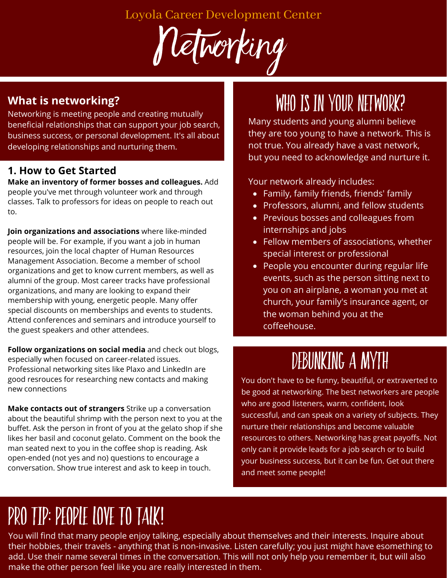Loyola Career Development Center

Networking

### **What is networking?**

Networking is meeting people and creating mutually beneficial relationships that can support your job search, business success, or personal development. It's all about developing relationships and nurturing them.

### **1. How to Get Started**

**Make an inventory of former bosses and colleagues.** Add people you've met through volunteer work and through classes. Talk to professors for ideas on people to reach out to.

**Join organizations and associations** where like-minded people will be. For example, if you want a job in human resources, join the local chapter of Human Resources Management Association. Become a member of school organizations and get to know current members, as well as alumni of the group. Most career tracks have professional organizations, and many are looking to expand their membership with young, energetic people. Many offer special discounts on memberships and events to students. Attend conferences and seminars and introduce yourself to the guest speakers and other attendees.

**Follow organizations on social media** and check out blogs, especially when focused on career-related issues. Professional networking sites like Plaxo and LinkedIn are good resrouces for researching new contacts and making new connections

**Make contacts out of strangers** Strike up a conversation about the beautiful shrimp with the person next to you at the buffet. Ask the person in front of you at the gelato shop if she likes her basil and coconut gelato. Comment on the book the man seated next to you in the coffee shop is reading. Ask open-ended (not yes and no) questions to encourage a conversation. Show true interest and ask to keep in touch.

## WHO IS IN YOUR NETWORK?

Many students and young alumni believe they are too young to have a network. This is not true. You already have a vast network, but you need to acknowledge and nurture it.

Your network already includes:

- Family, family friends, friends' family
- Professors, alumni, and fellow students
- Previous bosses and colleagues from internships and jobs
- Fellow members of associations, whether special interest or professional
- People you encounter during regular life events, such as the person sitting next to you on an airplane, a woman you met at church, your family's insurance agent, or the woman behind you at the coffeehouse.

# debunking a myth

You don't have to be funny, beautiful, or extraverted to be good at networking. The best networkers are people who are good listeners, warm, confident, look successful, and can speak on a variety of subjects. They nurture their relationships and become valuable resources to others. Networking has great payoffs. Not only can it provide leads for a job search or to build your business success, but it can be fun. Get out there and meet some people!

# Pro tip: people love to talk!

You will find that many people enjoy talking, especially about themselves and their interests. Inquire about their hobbies, their travels - anything that is non-invasive. Listen carefully; you just might have esomething to add. Use their name several times in the conversation. This will not only help you remember it, but will also make the other person feel like you are really interested in them.